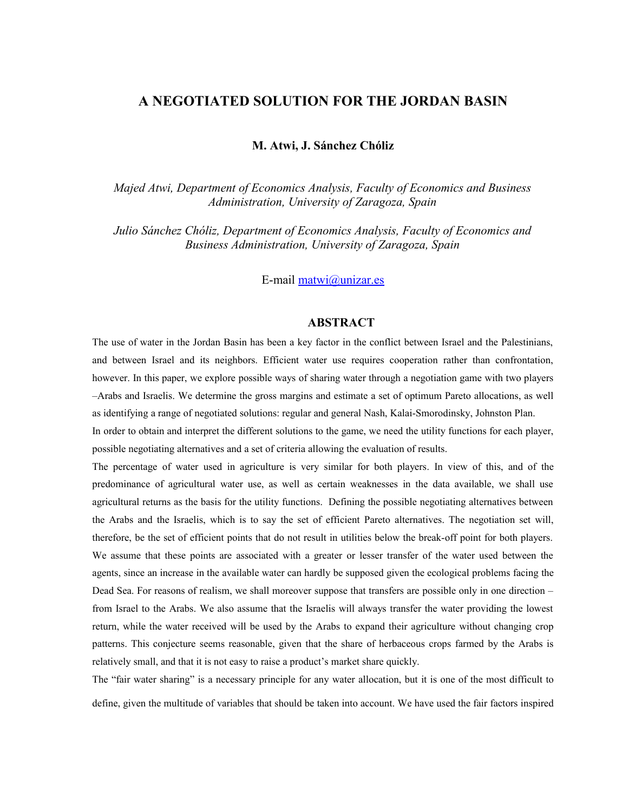## **A NEGOTIATED SOLUTION FOR THE JORDAN BASIN**

**M. Atwi, J. Sánchez Chóliz**

*Majed Atwi, Department of Economics Analysis, Faculty of Economics and Business Administration, University of Zaragoza, Spain*

*Julio Sánchez Chóliz, Department of Economics Analysis, Faculty of Economics and Business Administration, University of Zaragoza, Spain*

E-mail [matwi@unizar.es](mailto:matwi@unizar.es)

## **ABSTRACT**

The use of water in the Jordan Basin has been a key factor in the conflict between Israel and the Palestinians, and between Israel and its neighbors. Efficient water use requires cooperation rather than confrontation, however. In this paper, we explore possible ways of sharing water through a negotiation game with two players –Arabs and Israelis. We determine the gross margins and estimate a set of optimum Pareto allocations, as well as identifying a range of negotiated solutions: regular and general Nash, Kalai-Smorodinsky, Johnston Plan.

In order to obtain and interpret the different solutions to the game, we need the utility functions for each player, possible negotiating alternatives and a set of criteria allowing the evaluation of results.

The percentage of water used in agriculture is very similar for both players. In view of this, and of the predominance of agricultural water use, as well as certain weaknesses in the data available, we shall use agricultural returns as the basis for the utility functions. Defining the possible negotiating alternatives between the Arabs and the Israelis, which is to say the set of efficient Pareto alternatives. The negotiation set will, therefore, be the set of efficient points that do not result in utilities below the break-off point for both players. We assume that these points are associated with a greater or lesser transfer of the water used between the agents, since an increase in the available water can hardly be supposed given the ecological problems facing the Dead Sea. For reasons of realism, we shall moreover suppose that transfers are possible only in one direction – from Israel to the Arabs. We also assume that the Israelis will always transfer the water providing the lowest return, while the water received will be used by the Arabs to expand their agriculture without changing crop patterns. This conjecture seems reasonable, given that the share of herbaceous crops farmed by the Arabs is relatively small, and that it is not easy to raise a product's market share quickly.

The "fair water sharing" is a necessary principle for any water allocation, but it is one of the most difficult to define, given the multitude of variables that should be taken into account. We have used the fair factors inspired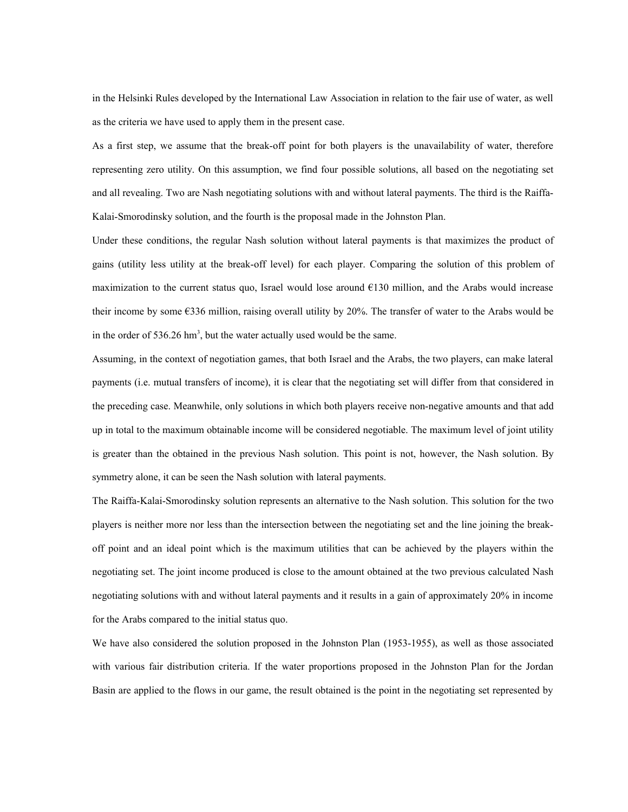in the Helsinki Rules developed by the International Law Association in relation to the fair use of water, as well as the criteria we have used to apply them in the present case.

As a first step, we assume that the break-off point for both players is the unavailability of water, therefore representing zero utility. On this assumption, we find four possible solutions, all based on the negotiating set and all revealing. Two are Nash negotiating solutions with and without lateral payments. The third is the Raiffa-Kalai-Smorodinsky solution, and the fourth is the proposal made in the Johnston Plan.

Under these conditions, the regular Nash solution without lateral payments is that maximizes the product of gains (utility less utility at the break-off level) for each player. Comparing the solution of this problem of maximization to the current status quo, Israel would lose around €130 million, and the Arabs would increase their income by some €336 million, raising overall utility by 20%. The transfer of water to the Arabs would be in the order of  $536.26 \text{ hm}^3$ , but the water actually used would be the same.

Assuming, in the context of negotiation games, that both Israel and the Arabs, the two players, can make lateral payments (i.e. mutual transfers of income), it is clear that the negotiating set will differ from that considered in the preceding case. Meanwhile, only solutions in which both players receive non-negative amounts and that add up in total to the maximum obtainable income will be considered negotiable. The maximum level of joint utility is greater than the obtained in the previous Nash solution. This point is not, however, the Nash solution. By symmetry alone, it can be seen the Nash solution with lateral payments.

The Raiffa-Kalai-Smorodinsky solution represents an alternative to the Nash solution. This solution for the two players is neither more nor less than the intersection between the negotiating set and the line joining the breakoff point and an ideal point which is the maximum utilities that can be achieved by the players within the negotiating set. The joint income produced is close to the amount obtained at the two previous calculated Nash negotiating solutions with and without lateral payments and it results in a gain of approximately 20% in income for the Arabs compared to the initial status quo.

We have also considered the solution proposed in the Johnston Plan (1953-1955), as well as those associated with various fair distribution criteria. If the water proportions proposed in the Johnston Plan for the Jordan Basin are applied to the flows in our game, the result obtained is the point in the negotiating set represented by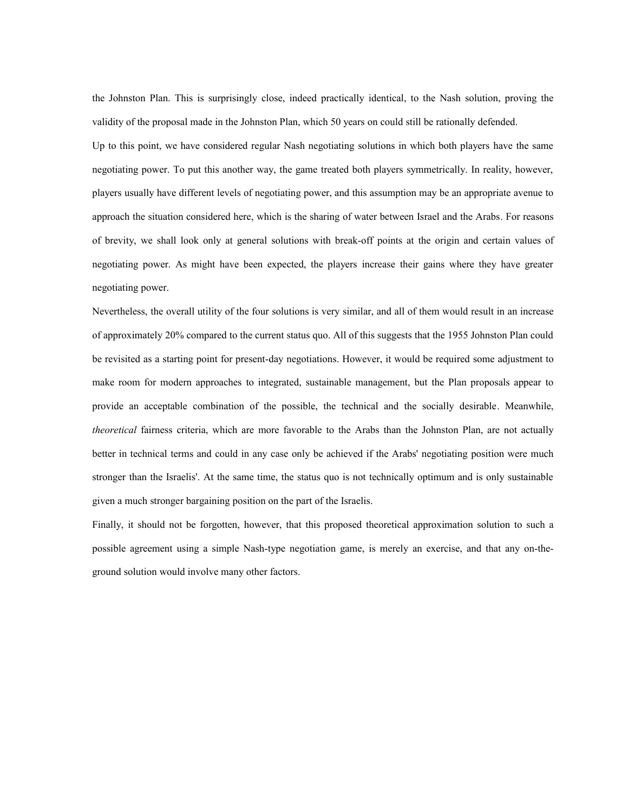the Johnston Plan. This is surprisingly close, indeed practically identical, to the Nash solution, proving the validity of the proposal made in the Johnston Plan, which 50 years on could still be rationally defended.

Up to this point, we have considered regular Nash negotiating solutions in which both players have the same negotiating power. To put this another way, the game treated both players symmetrically. In reality, however, players usually have different levels of negotiating power, and this assumption may be an appropriate avenue to approach the situation considered here, which is the sharing of water between Israel and the Arabs. For reasons of brevity, we shall look only at general solutions with break-off points at the origin and certain values of negotiating power. As might have been expected, the players increase their gains where they have greater negotiating power.

Nevertheless, the overall utility of the four solutions is very similar, and all of them would result in an increase of approximately 20% compared to the current status quo. All of this suggests that the 1955 Johnston Plan could be revisited as a starting point for present-day negotiations. However, it would be required some adjustment to make room for modern approaches to integrated, sustainable management, but the Plan proposals appear to provide an acceptable combination of the possible, the technical and the socially desirable. Meanwhile, *theoretical* fairness criteria, which are more favorable to the Arabs than the Johnston Plan, are not actually better in technical terms and could in any case only be achieved if the Arabs' negotiating position were much stronger than the Israelis'. At the same time, the status quo is not technically optimum and is only sustainable given a much stronger bargaining position on the part of the Israelis.

Finally, it should not be forgotten, however, that this proposed theoretical approximation solution to such a possible agreement using a simple Nash-type negotiation game, is merely an exercise, and that any on-theground solution would involve many other factors.